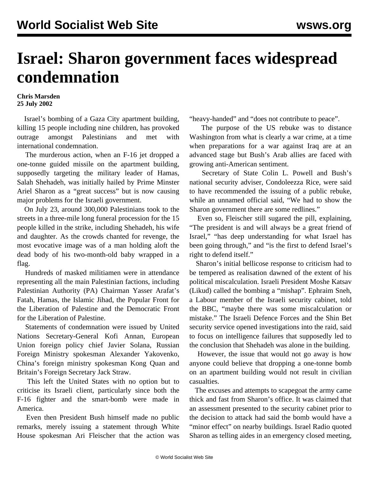## **Israel: Sharon government faces widespread condemnation**

## **Chris Marsden 25 July 2002**

 Israel's bombing of a Gaza City apartment building, killing 15 people including nine children, has provoked outrage amongst Palestinians and met with international condemnation.

 The murderous action, when an F-16 jet dropped a one-tonne guided missile on the apartment building, supposedly targeting the military leader of Hamas, Salah Shehadeh, was initially hailed by Prime Minster Ariel Sharon as a "great success" but is now causing major problems for the Israeli government.

 On July 23, around 300,000 Palestinians took to the streets in a three-mile long funeral procession for the 15 people killed in the strike, including Shehadeh, his wife and daughter. As the crowds chanted for revenge, the most evocative image was of a man holding aloft the dead body of his two-month-old baby wrapped in a flag.

 Hundreds of masked militiamen were in attendance representing all the main Palestinian factions, including Palestinian Authority (PA) Chairman Yasser Arafat's Fatah, Hamas, the Islamic Jihad, the Popular Front for the Liberation of Palestine and the Democratic Front for the Liberation of Palestine.

 Statements of condemnation were issued by United Nations Secretary-General Kofi Annan, European Union foreign policy chief Javier Solana, Russian Foreign Ministry spokesman Alexander Yakovenko, China's foreign ministry spokesman Kong Quan and Britain's Foreign Secretary Jack Straw.

 This left the United States with no option but to criticise its Israeli client, particularly since both the F-16 fighter and the smart-bomb were made in America.

 Even then President Bush himself made no public remarks, merely issuing a statement through White House spokesman Ari Fleischer that the action was "heavy-handed" and "does not contribute to peace".

 The purpose of the US rebuke was to distance Washington from what is clearly a war crime, at a time when preparations for a war against Iraq are at an advanced stage but Bush's Arab allies are faced with growing anti-American sentiment.

 Secretary of State Colin L. Powell and Bush's national security adviser, Condoleezza Rice, were said to have recommended the issuing of a public rebuke, while an unnamed official said, "We had to show the Sharon government there are some redlines."

 Even so, Fleischer still sugared the pill, explaining, "The president is and will always be a great friend of Israel," "has deep understanding for what Israel has been going through," and "is the first to defend Israel's right to defend itself."

 Sharon's initial bellicose response to criticism had to be tempered as realisation dawned of the extent of his political miscalculation. Israeli President Moshe Katsav (Likud) called the bombing a "mishap". Ephraim Sneh, a Labour member of the Israeli security cabinet, told the BBC, "maybe there was some miscalculation or mistake." The Israeli Defence Forces and the Shin Bet security service opened investigations into the raid, said to focus on intelligence failures that supposedly led to the conclusion that Shehadeh was alone in the building.

 However, the issue that would not go away is how anyone could believe that dropping a one-tonne bomb on an apartment building would not result in civilian casualties.

 The excuses and attempts to scapegoat the army came thick and fast from Sharon's office. It was claimed that an assessment presented to the security cabinet prior to the decision to attack had said the bomb would have a "minor effect" on nearby buildings. Israel Radio quoted Sharon as telling aides in an emergency closed meeting,